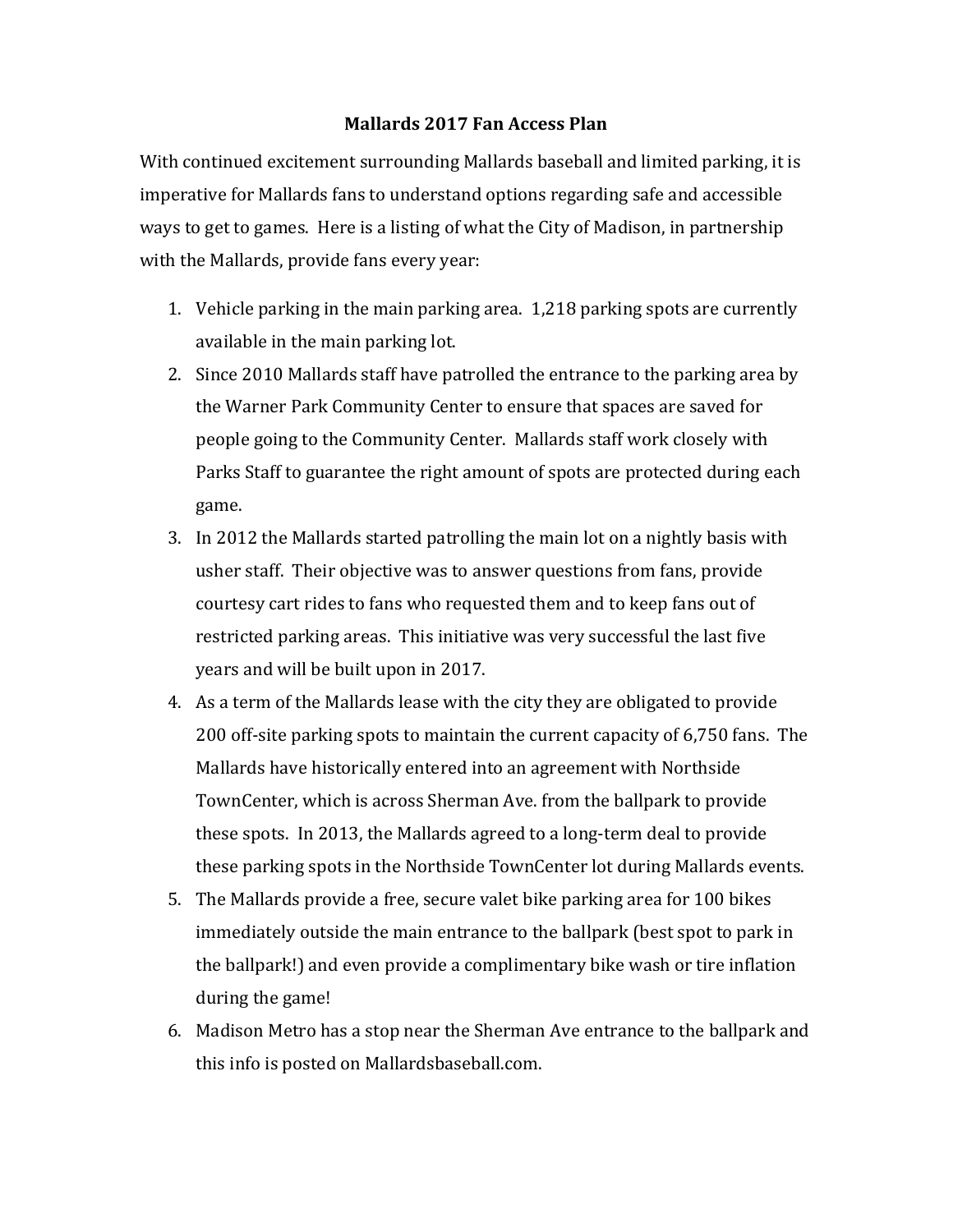## **Mallards 2017 Fan Access Plan**

With continued excitement surrounding Mallards baseball and limited parking, it is imperative for Mallards fans to understand options regarding safe and accessible ways to get to games. Here is a listing of what the City of Madison, in partnership with the Mallards, provide fans every year:

- 1. Vehicle parking in the main parking area. 1,218 parking spots are currently available in the main parking lot.
- 2. Since 2010 Mallards staff have patrolled the entrance to the parking area by the Warner Park Community Center to ensure that spaces are saved for people going to the Community Center. Mallards staff work closely with Parks Staff to guarantee the right amount of spots are protected during each game.
- 3. In 2012 the Mallards started patrolling the main lot on a nightly basis with usher staff. Their objective was to answer questions from fans, provide courtesy cart rides to fans who requested them and to keep fans out of restricted parking areas. This initiative was very successful the last five years and will be built upon in 2017.
- 4. As a term of the Mallards lease with the city they are obligated to provide 200 off-site parking spots to maintain the current capacity of 6,750 fans. The Mallards have historically entered into an agreement with Northside TownCenter, which is across Sherman Ave. from the ballpark to provide these spots. In 2013, the Mallards agreed to a long-term deal to provide these parking spots in the Northside TownCenter lot during Mallards events.
- 5. The Mallards provide a free, secure valet bike parking area for 100 bikes immediately outside the main entrance to the ballpark (best spot to park in the ballpark!) and even provide a complimentary bike wash or tire inflation during the game!
- 6. Madison Metro has a stop near the Sherman Ave entrance to the ballpark and this info is posted on Mallardsbaseball.com.